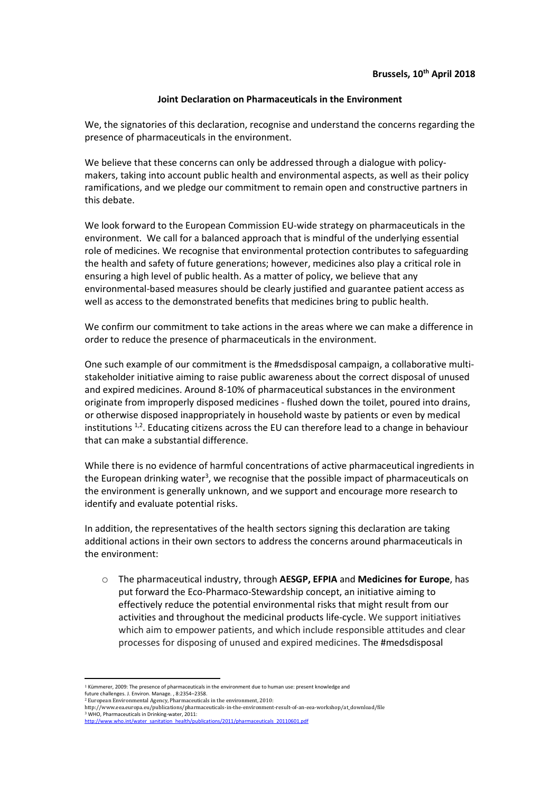# **Joint Declaration on Pharmaceuticals in the Environment**

We, the signatories of this declaration, recognise and understand the concerns regarding the presence of pharmaceuticals in the environment.

We believe that these concerns can only be addressed through a dialogue with policymakers, taking into account public health and environmental aspects, as well as their policy ramifications, and we pledge our commitment to remain open and constructive partners in this debate.

We look forward to the European Commission EU-wide strategy on pharmaceuticals in the environment. We call for a balanced approach that is mindful of the underlying essential role of medicines. We recognise that environmental protection contributes to safeguarding the health and safety of future generations; however, medicines also play a critical role in ensuring a high level of public health. As a matter of policy, we believe that any environmental-based measures should be clearly justified and guarantee patient access as well as access to the demonstrated benefits that medicines bring to public health.

We confirm our commitment to take actions in the areas where we can make a difference in order to reduce the presence of pharmaceuticals in the environment.

One such example of our commitment is the #medsdisposal campaign, a collaborative multistakeholder initiative aiming to raise public awareness about the correct disposal of unused and expired medicines. Around 8-10% of pharmaceutical substances in the environment originate from improperly disposed medicines - flushed down the toilet, poured into drains, or otherwise disposed inappropriately in household waste by patients or even by medical institutions <sup>1,2</sup>. Educating citizens across the EU can therefore lead to a change in behaviour that can make a substantial difference.

While there is no evidence of harmful concentrations of active pharmaceutical ingredients in the European drinking water<sup>3</sup>, we recognise that the possible impact of pharmaceuticals on the environment is generally unknown, and we support and encourage more research to identify and evaluate potential risks.

In addition, the representatives of the health sectors signing this declaration are taking additional actions in their own sectors to address the concerns around pharmaceuticals in the environment:

o The pharmaceutical industry, through **AESGP, EFPIA** and **Medicines for Europe**, has put forward the [Eco-Pharmaco-Stewardship](https://www.efpia.eu/media/25628/eps-a-holistic-environmental-risk-management-program.pdf) concept, an initiative aiming to effectively reduce the potential environmental risks that might result from our activities and throughout the medicinal products life-cycle. We support initiatives which aim to empower patients, and which include responsible attitudes and clear processes for disposing of unused and expired medicines. The #medsdisposal

 $\overline{a}$ 

 $1$  Kümmerer, 2009: The presence of pharmaceuticals in the environment due to human use: present knowledge and future challenges. J. Environ. Manage. , 8:2354–2358. <sup>2</sup> European Environmental Agency, Pharmaceuticals in the environment, 2010:

http://www.eea.europa.eu/publications/pharmaceuticals-in-the-environment-result-of-an-eea-workshop/at\_download/file <sup>3</sup> WHO, Pharmaceuticals in Drinking-water, 2011:

[http://www.who.int/water\\_sanitation\\_health/publications/2011/pharmaceuticals\\_20110601.pdf](http://www.who.int/water_sanitation_health/publications/2011/pharmaceuticals_20110601.pdf)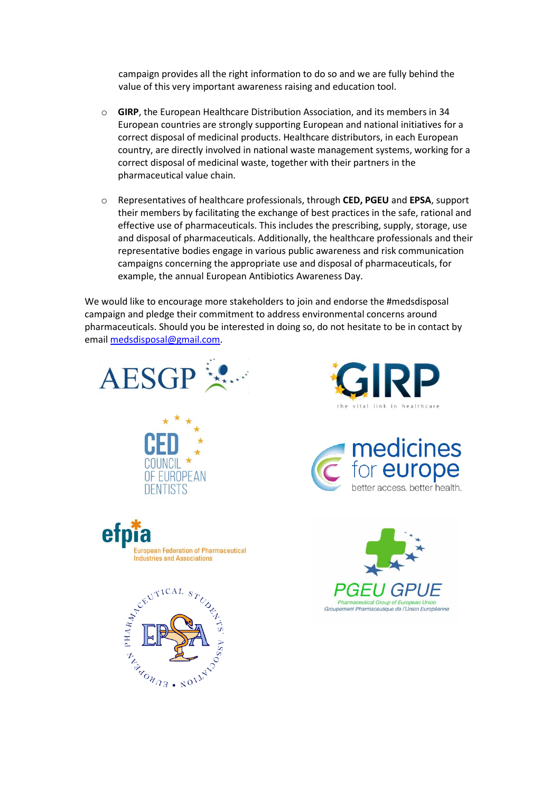campaign provides all the right information to do so and we are fully behind the value of this very important awareness raising and education tool.

- o **GIRP**, the European Healthcare Distribution Association, and its members in 34 European countries are strongly supporting European and national initiatives for a correct disposal of medicinal products. Healthcare distributors, in each European country, are directly involved in national waste management systems, working for a correct disposal of medicinal waste, together with their partners in the pharmaceutical value chain.
- o Representatives of healthcare professionals, through **CED, PGEU** and **EPSA**, support their members by facilitating the exchange of best practices in the safe, rational and effective use of pharmaceuticals. This includes the prescribing, supply, storage, use and disposal of pharmaceuticals. Additionally, the healthcare professionals and their representative bodies engage in various public awareness and risk communication campaigns concerning the appropriate use and disposal of pharmaceuticals, for example, the annual European Antibiotics Awareness Day.

We would like to encourage more stakeholders to join and endorse the #medsdisposal campaign and pledge their commitment to address environmental concerns around pharmaceuticals. Should you be interested in doing so, do not hesitate to be in contact by email [medsdisposal@gmail.com.](mailto:medsdisposal@gmail.com)